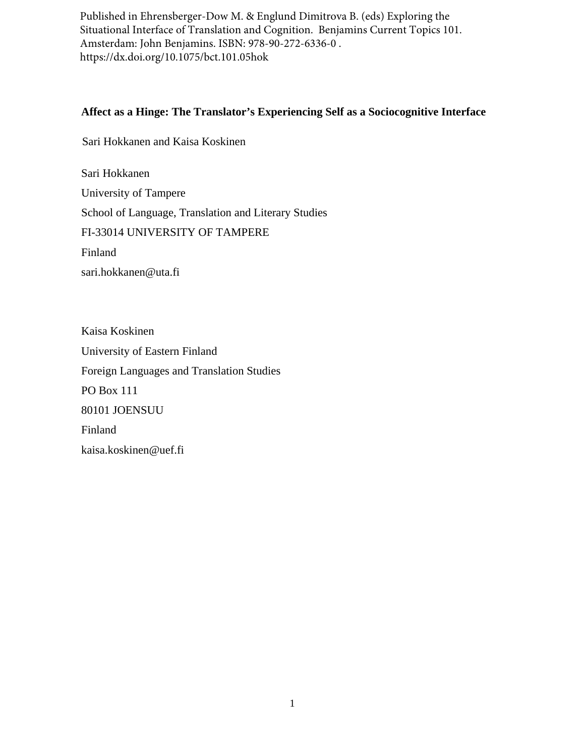Published in Ehrensberger-Dow M. & Englund Dimitrova B. (eds) Exploring the Situational Interface of Translation and Cognition. Benjamins Current Topics 101. Amsterdam: John Benjamins. ISBN: 978-90-272-6336-0 . https://dx.doi.org/10.1075/bct.101.05hok

# **Affect as a Hinge: The Translator's Experiencing Self as a Sociocognitive Interface**

Sari Hokkanen and Kaisa Koskinen

Sari Hokkanen University of Tampere School of Language, Translation and Literary Studies FI-33014 UNIVERSITY OF TAMPERE Finland sari.hokkanen@uta.fi

Kaisa Koskinen University of Eastern Finland Foreign Languages and Translation Studies PO Box 111 80101 JOENSUU Finland kaisa.koskinen@uef.fi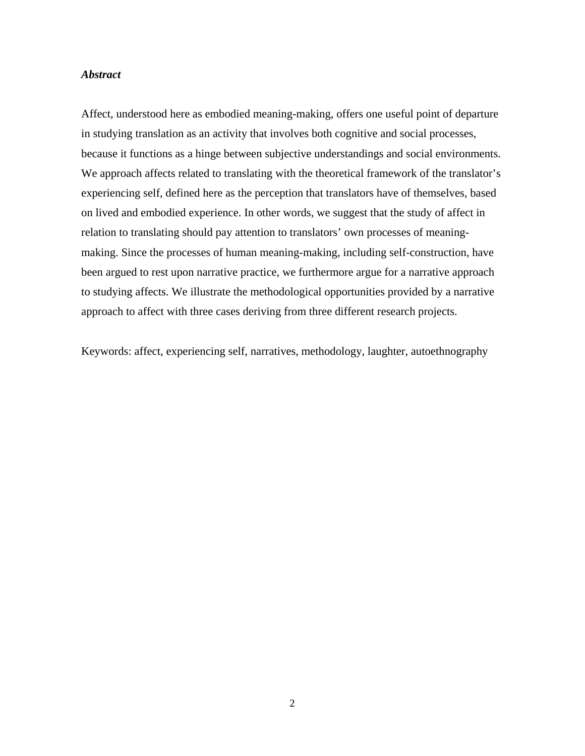# *Abstract*

Affect, understood here as embodied meaning-making, offers one useful point of departure in studying translation as an activity that involves both cognitive and social processes, because it functions as a hinge between subjective understandings and social environments. We approach affects related to translating with the theoretical framework of the translator's experiencing self, defined here as the perception that translators have of themselves, based on lived and embodied experience. In other words, we suggest that the study of affect in relation to translating should pay attention to translators' own processes of meaningmaking. Since the processes of human meaning-making, including self-construction, have been argued to rest upon narrative practice, we furthermore argue for a narrative approach to studying affects. We illustrate the methodological opportunities provided by a narrative approach to affect with three cases deriving from three different research projects.

Keywords: affect, experiencing self, narratives, methodology, laughter, autoethnography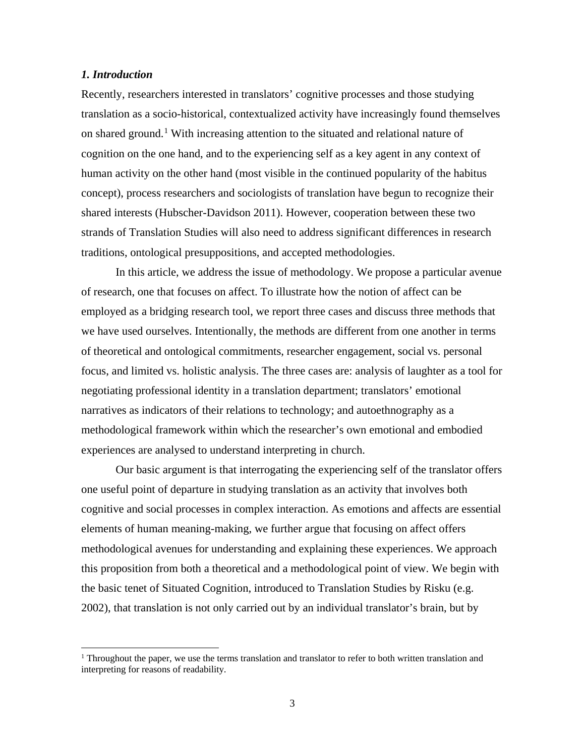### *1. Introduction*

<u>.</u>

Recently, researchers interested in translators' cognitive processes and those studying translation as a socio-historical, contextualized activity have increasingly found themselves on shared ground.<sup>[1](#page-2-0)</sup> With increasing attention to the situated and relational nature of cognition on the one hand, and to the experiencing self as a key agent in any context of human activity on the other hand (most visible in the continued popularity of the habitus concept), process researchers and sociologists of translation have begun to recognize their shared interests (Hubscher-Davidson 2011). However, cooperation between these two strands of Translation Studies will also need to address significant differences in research traditions, ontological presuppositions, and accepted methodologies.

In this article, we address the issue of methodology. We propose a particular avenue of research, one that focuses on affect. To illustrate how the notion of affect can be employed as a bridging research tool, we report three cases and discuss three methods that we have used ourselves. Intentionally, the methods are different from one another in terms of theoretical and ontological commitments, researcher engagement, social vs. personal focus, and limited vs. holistic analysis. The three cases are: analysis of laughter as a tool for negotiating professional identity in a translation department; translators' emotional narratives as indicators of their relations to technology; and autoethnography as a methodological framework within which the researcher's own emotional and embodied experiences are analysed to understand interpreting in church.

Our basic argument is that interrogating the experiencing self of the translator offers one useful point of departure in studying translation as an activity that involves both cognitive and social processes in complex interaction. As emotions and affects are essential elements of human meaning-making, we further argue that focusing on affect offers methodological avenues for understanding and explaining these experiences. We approach this proposition from both a theoretical and a methodological point of view. We begin with the basic tenet of Situated Cognition, introduced to Translation Studies by Risku (e.g. 2002), that translation is not only carried out by an individual translator's brain, but by

<span id="page-2-0"></span><sup>&</sup>lt;sup>1</sup> Throughout the paper, we use the terms translation and translator to refer to both written translation and interpreting for reasons of readability.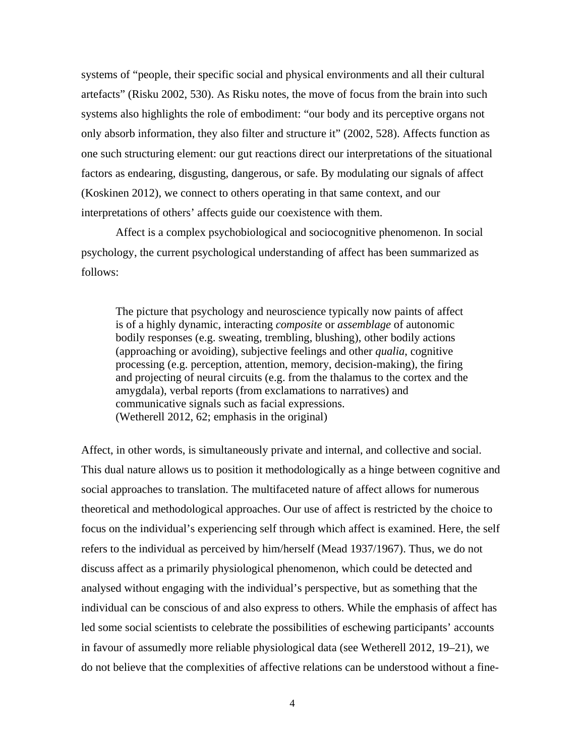systems of "people, their specific social and physical environments and all their cultural artefacts" (Risku 2002, 530). As Risku notes, the move of focus from the brain into such systems also highlights the role of embodiment: "our body and its perceptive organs not only absorb information, they also filter and structure it" (2002, 528). Affects function as one such structuring element: our gut reactions direct our interpretations of the situational factors as endearing, disgusting, dangerous, or safe. By modulating our signals of affect (Koskinen 2012), we connect to others operating in that same context, and our interpretations of others' affects guide our coexistence with them.

Affect is a complex psychobiological and sociocognitive phenomenon. In social psychology, the current psychological understanding of affect has been summarized as follows:

The picture that psychology and neuroscience typically now paints of affect is of a highly dynamic, interacting *composite* or *assemblage* of autonomic bodily responses (e.g. sweating, trembling, blushing), other bodily actions (approaching or avoiding), subjective feelings and other *qualia*, cognitive processing (e.g. perception, attention, memory, decision-making), the firing and projecting of neural circuits (e.g. from the thalamus to the cortex and the amygdala), verbal reports (from exclamations to narratives) and communicative signals such as facial expressions. (Wetherell 2012, 62; emphasis in the original)

Affect, in other words, is simultaneously private and internal, and collective and social. This dual nature allows us to position it methodologically as a hinge between cognitive and social approaches to translation. The multifaceted nature of affect allows for numerous theoretical and methodological approaches. Our use of affect is restricted by the choice to focus on the individual's experiencing self through which affect is examined. Here, the self refers to the individual as perceived by him/herself (Mead 1937/1967). Thus, we do not discuss affect as a primarily physiological phenomenon, which could be detected and analysed without engaging with the individual's perspective, but as something that the individual can be conscious of and also express to others. While the emphasis of affect has led some social scientists to celebrate the possibilities of eschewing participants' accounts in favour of assumedly more reliable physiological data (see Wetherell 2012, 19–21), we do not believe that the complexities of affective relations can be understood without a fine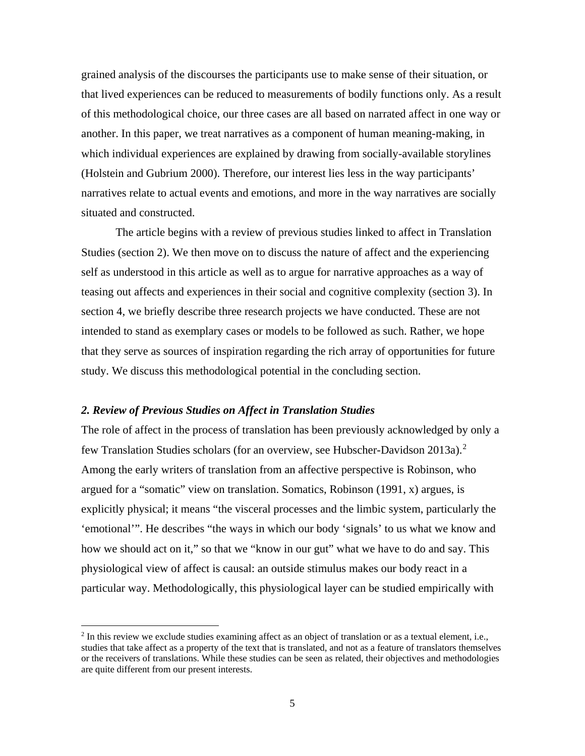grained analysis of the discourses the participants use to make sense of their situation, or that lived experiences can be reduced to measurements of bodily functions only. As a result of this methodological choice, our three cases are all based on narrated affect in one way or another. In this paper, we treat narratives as a component of human meaning-making, in which individual experiences are explained by drawing from socially-available storylines (Holstein and Gubrium 2000). Therefore, our interest lies less in the way participants' narratives relate to actual events and emotions, and more in the way narratives are socially situated and constructed.

The article begins with a review of previous studies linked to affect in Translation Studies (section 2). We then move on to discuss the nature of affect and the experiencing self as understood in this article as well as to argue for narrative approaches as a way of teasing out affects and experiences in their social and cognitive complexity (section 3). In section 4, we briefly describe three research projects we have conducted. These are not intended to stand as exemplary cases or models to be followed as such. Rather, we hope that they serve as sources of inspiration regarding the rich array of opportunities for future study. We discuss this methodological potential in the concluding section.

# *2. Review of Previous Studies on Affect in Translation Studies*

**.** 

The role of affect in the process of translation has been previously acknowledged by only a few Translation Studies scholars (for an overview, see Hubscher-Davidson [2](#page-4-0)013a).<sup>2</sup> Among the early writers of translation from an affective perspective is Robinson, who argued for a "somatic" view on translation. Somatics, Robinson (1991, x) argues, is explicitly physical; it means "the visceral processes and the limbic system, particularly the 'emotional'". He describes "the ways in which our body 'signals' to us what we know and how we should act on it," so that we "know in our gut" what we have to do and say. This physiological view of affect is causal: an outside stimulus makes our body react in a particular way. Methodologically, this physiological layer can be studied empirically with

<span id="page-4-0"></span><sup>2</sup> In this review we exclude studies examining affect as an object of translation or as a textual element, i.e., studies that take affect as a property of the text that is translated, and not as a feature of translators themselves or the receivers of translations. While these studies can be seen as related, their objectives and methodologies are quite different from our present interests.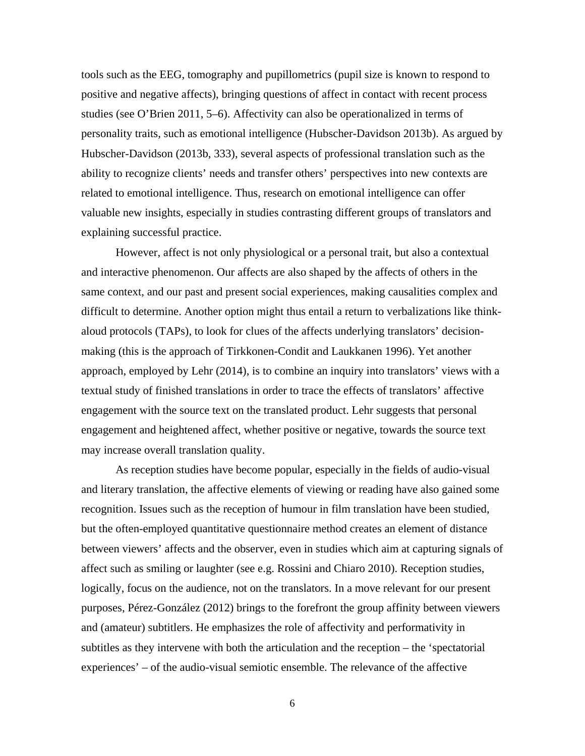tools such as the EEG, tomography and pupillometrics (pupil size is known to respond to positive and negative affects), bringing questions of affect in contact with recent process studies (see O'Brien 2011, 5–6). Affectivity can also be operationalized in terms of personality traits, such as emotional intelligence (Hubscher-Davidson 2013b). As argued by Hubscher-Davidson (2013b, 333), several aspects of professional translation such as the ability to recognize clients' needs and transfer others' perspectives into new contexts are related to emotional intelligence. Thus, research on emotional intelligence can offer valuable new insights, especially in studies contrasting different groups of translators and explaining successful practice.

However, affect is not only physiological or a personal trait, but also a contextual and interactive phenomenon. Our affects are also shaped by the affects of others in the same context, and our past and present social experiences, making causalities complex and difficult to determine. Another option might thus entail a return to verbalizations like thinkaloud protocols (TAPs), to look for clues of the affects underlying translators' decisionmaking (this is the approach of Tirkkonen-Condit and Laukkanen 1996). Yet another approach, employed by Lehr (2014), is to combine an inquiry into translators' views with a textual study of finished translations in order to trace the effects of translators' affective engagement with the source text on the translated product. Lehr suggests that personal engagement and heightened affect, whether positive or negative, towards the source text may increase overall translation quality.

As reception studies have become popular, especially in the fields of audio-visual and literary translation, the affective elements of viewing or reading have also gained some recognition. Issues such as the reception of humour in film translation have been studied, but the often-employed quantitative questionnaire method creates an element of distance between viewers' affects and the observer, even in studies which aim at capturing signals of affect such as smiling or laughter (see e.g. Rossini and Chiaro 2010). Reception studies, logically, focus on the audience, not on the translators. In a move relevant for our present purposes, Pérez-González (2012) brings to the forefront the group affinity between viewers and (amateur) subtitlers. He emphasizes the role of affectivity and performativity in subtitles as they intervene with both the articulation and the reception – the 'spectatorial experiences' – of the audio-visual semiotic ensemble. The relevance of the affective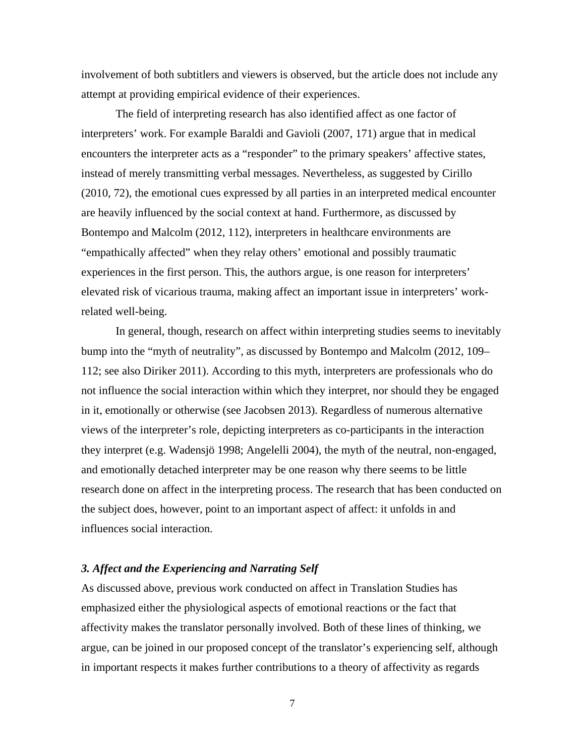involvement of both subtitlers and viewers is observed, but the article does not include any attempt at providing empirical evidence of their experiences.

The field of interpreting research has also identified affect as one factor of interpreters' work. For example Baraldi and Gavioli (2007, 171) argue that in medical encounters the interpreter acts as a "responder" to the primary speakers' affective states, instead of merely transmitting verbal messages. Nevertheless, as suggested by Cirillo (2010, 72), the emotional cues expressed by all parties in an interpreted medical encounter are heavily influenced by the social context at hand. Furthermore, as discussed by Bontempo and Malcolm (2012, 112), interpreters in healthcare environments are "empathically affected" when they relay others' emotional and possibly traumatic experiences in the first person. This, the authors argue, is one reason for interpreters' elevated risk of vicarious trauma, making affect an important issue in interpreters' workrelated well-being.

In general, though, research on affect within interpreting studies seems to inevitably bump into the "myth of neutrality", as discussed by Bontempo and Malcolm (2012, 109– 112; see also Diriker 2011). According to this myth, interpreters are professionals who do not influence the social interaction within which they interpret, nor should they be engaged in it, emotionally or otherwise (see Jacobsen 2013). Regardless of numerous alternative views of the interpreter's role, depicting interpreters as co-participants in the interaction they interpret (e.g. Wadensjö 1998; Angelelli 2004), the myth of the neutral, non-engaged, and emotionally detached interpreter may be one reason why there seems to be little research done on affect in the interpreting process. The research that has been conducted on the subject does, however, point to an important aspect of affect: it unfolds in and influences social interaction.

# *3. Affect and the Experiencing and Narrating Self*

As discussed above, previous work conducted on affect in Translation Studies has emphasized either the physiological aspects of emotional reactions or the fact that affectivity makes the translator personally involved. Both of these lines of thinking, we argue, can be joined in our proposed concept of the translator's experiencing self, although in important respects it makes further contributions to a theory of affectivity as regards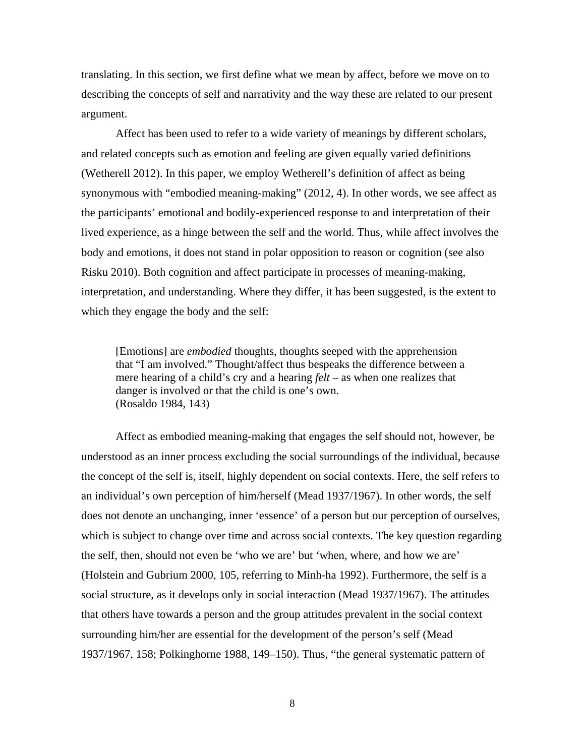translating. In this section, we first define what we mean by affect, before we move on to describing the concepts of self and narrativity and the way these are related to our present argument.

Affect has been used to refer to a wide variety of meanings by different scholars, and related concepts such as emotion and feeling are given equally varied definitions (Wetherell 2012). In this paper, we employ Wetherell's definition of affect as being synonymous with "embodied meaning-making" (2012, 4). In other words, we see affect as the participants' emotional and bodily-experienced response to and interpretation of their lived experience, as a hinge between the self and the world. Thus, while affect involves the body and emotions, it does not stand in polar opposition to reason or cognition (see also Risku 2010). Both cognition and affect participate in processes of meaning-making, interpretation, and understanding. Where they differ, it has been suggested, is the extent to which they engage the body and the self:

[Emotions] are *embodied* thoughts, thoughts seeped with the apprehension that "I am involved." Thought/affect thus bespeaks the difference between a mere hearing of a child's cry and a hearing *felt* – as when one realizes that danger is involved or that the child is one's own. (Rosaldo 1984, 143)

Affect as embodied meaning-making that engages the self should not, however, be understood as an inner process excluding the social surroundings of the individual, because the concept of the self is, itself, highly dependent on social contexts. Here, the self refers to an individual's own perception of him/herself (Mead 1937/1967). In other words, the self does not denote an unchanging, inner 'essence' of a person but our perception of ourselves, which is subject to change over time and across social contexts. The key question regarding the self, then, should not even be 'who we are' but 'when, where, and how we are' (Holstein and Gubrium 2000, 105, referring to Minh-ha 1992). Furthermore, the self is a social structure, as it develops only in social interaction (Mead 1937/1967). The attitudes that others have towards a person and the group attitudes prevalent in the social context surrounding him/her are essential for the development of the person's self (Mead 1937/1967, 158; Polkinghorne 1988, 149–150). Thus, "the general systematic pattern of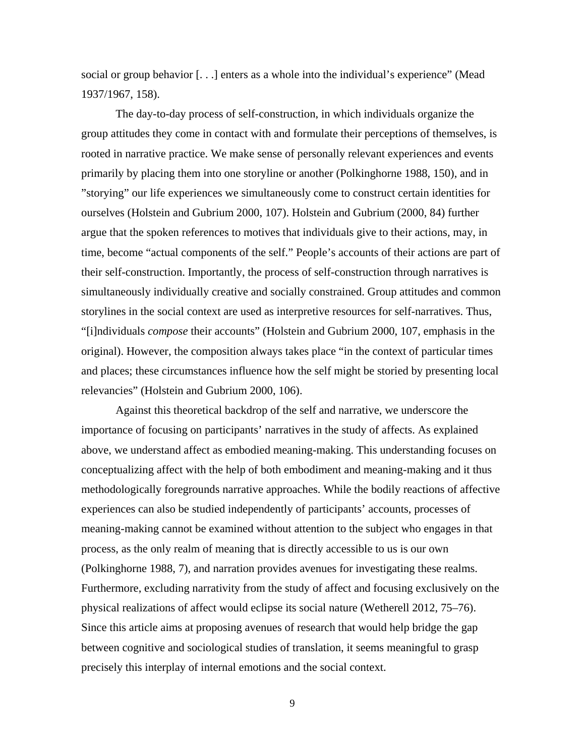social or group behavior [. . .] enters as a whole into the individual's experience" (Mead 1937/1967, 158).

The day-to-day process of self-construction, in which individuals organize the group attitudes they come in contact with and formulate their perceptions of themselves, is rooted in narrative practice. We make sense of personally relevant experiences and events primarily by placing them into one storyline or another (Polkinghorne 1988, 150), and in "storying" our life experiences we simultaneously come to construct certain identities for ourselves (Holstein and Gubrium 2000, 107). Holstein and Gubrium (2000, 84) further argue that the spoken references to motives that individuals give to their actions, may, in time, become "actual components of the self." People's accounts of their actions are part of their self-construction. Importantly, the process of self-construction through narratives is simultaneously individually creative and socially constrained. Group attitudes and common storylines in the social context are used as interpretive resources for self-narratives. Thus, "[i]ndividuals *compose* their accounts" (Holstein and Gubrium 2000, 107, emphasis in the original). However, the composition always takes place "in the context of particular times and places; these circumstances influence how the self might be storied by presenting local relevancies" (Holstein and Gubrium 2000, 106).

Against this theoretical backdrop of the self and narrative, we underscore the importance of focusing on participants' narratives in the study of affects. As explained above, we understand affect as embodied meaning-making. This understanding focuses on conceptualizing affect with the help of both embodiment and meaning-making and it thus methodologically foregrounds narrative approaches. While the bodily reactions of affective experiences can also be studied independently of participants' accounts, processes of meaning-making cannot be examined without attention to the subject who engages in that process, as the only realm of meaning that is directly accessible to us is our own (Polkinghorne 1988, 7), and narration provides avenues for investigating these realms. Furthermore, excluding narrativity from the study of affect and focusing exclusively on the physical realizations of affect would eclipse its social nature (Wetherell 2012, 75–76). Since this article aims at proposing avenues of research that would help bridge the gap between cognitive and sociological studies of translation, it seems meaningful to grasp precisely this interplay of internal emotions and the social context.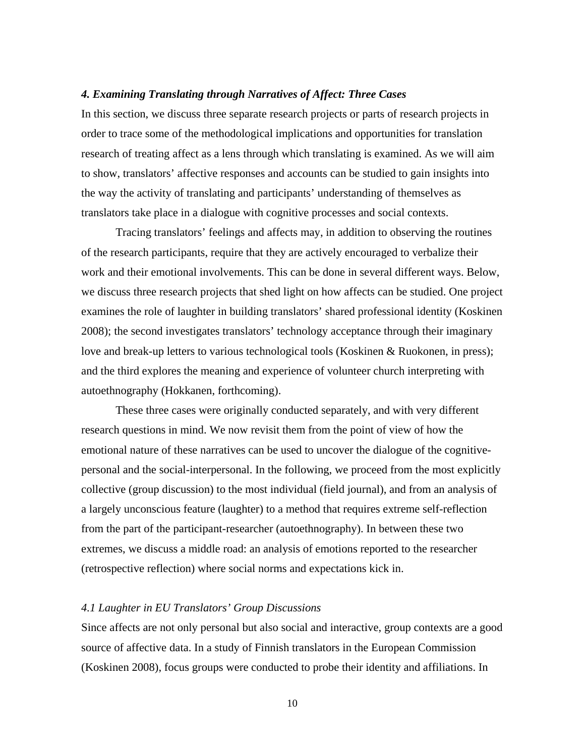### *4. Examining Translating through Narratives of Affect: Three Cases*

In this section, we discuss three separate research projects or parts of research projects in order to trace some of the methodological implications and opportunities for translation research of treating affect as a lens through which translating is examined. As we will aim to show, translators' affective responses and accounts can be studied to gain insights into the way the activity of translating and participants' understanding of themselves as translators take place in a dialogue with cognitive processes and social contexts.

Tracing translators' feelings and affects may, in addition to observing the routines of the research participants, require that they are actively encouraged to verbalize their work and their emotional involvements. This can be done in several different ways. Below, we discuss three research projects that shed light on how affects can be studied. One project examines the role of laughter in building translators' shared professional identity (Koskinen 2008); the second investigates translators' technology acceptance through their imaginary love and break-up letters to various technological tools (Koskinen & Ruokonen, in press); and the third explores the meaning and experience of volunteer church interpreting with autoethnography (Hokkanen, forthcoming).

These three cases were originally conducted separately, and with very different research questions in mind. We now revisit them from the point of view of how the emotional nature of these narratives can be used to uncover the dialogue of the cognitivepersonal and the social-interpersonal. In the following, we proceed from the most explicitly collective (group discussion) to the most individual (field journal), and from an analysis of a largely unconscious feature (laughter) to a method that requires extreme self-reflection from the part of the participant-researcher (autoethnography). In between these two extremes, we discuss a middle road: an analysis of emotions reported to the researcher (retrospective reflection) where social norms and expectations kick in.

# *4.1 Laughter in EU Translators' Group Discussions*

Since affects are not only personal but also social and interactive, group contexts are a good source of affective data. In a study of Finnish translators in the European Commission (Koskinen 2008), focus groups were conducted to probe their identity and affiliations. In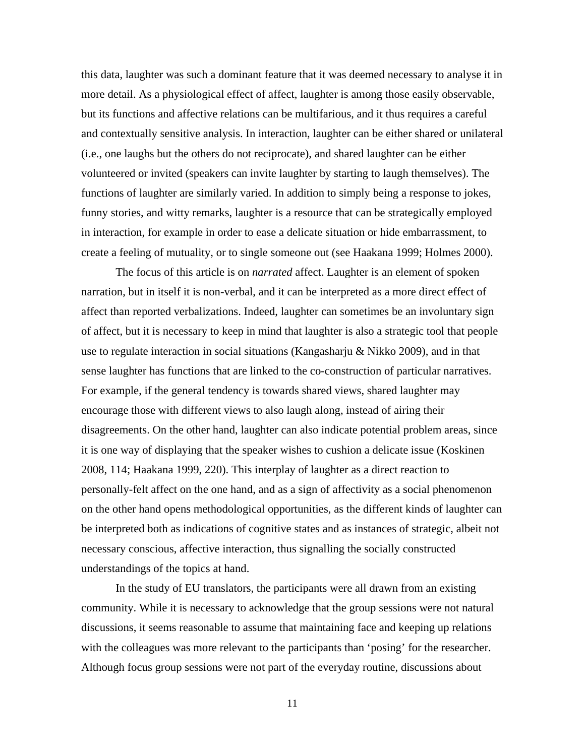this data, laughter was such a dominant feature that it was deemed necessary to analyse it in more detail. As a physiological effect of affect, laughter is among those easily observable, but its functions and affective relations can be multifarious, and it thus requires a careful and contextually sensitive analysis. In interaction, laughter can be either shared or unilateral (i.e., one laughs but the others do not reciprocate), and shared laughter can be either volunteered or invited (speakers can invite laughter by starting to laugh themselves). The functions of laughter are similarly varied. In addition to simply being a response to jokes, funny stories, and witty remarks, laughter is a resource that can be strategically employed in interaction, for example in order to ease a delicate situation or hide embarrassment, to create a feeling of mutuality, or to single someone out (see Haakana 1999; Holmes 2000).

The focus of this article is on *narrated* affect. Laughter is an element of spoken narration, but in itself it is non-verbal, and it can be interpreted as a more direct effect of affect than reported verbalizations. Indeed, laughter can sometimes be an involuntary sign of affect, but it is necessary to keep in mind that laughter is also a strategic tool that people use to regulate interaction in social situations (Kangasharju & Nikko 2009), and in that sense laughter has functions that are linked to the co-construction of particular narratives. For example, if the general tendency is towards shared views, shared laughter may encourage those with different views to also laugh along, instead of airing their disagreements. On the other hand, laughter can also indicate potential problem areas, since it is one way of displaying that the speaker wishes to cushion a delicate issue (Koskinen 2008, 114; Haakana 1999, 220). This interplay of laughter as a direct reaction to personally-felt affect on the one hand, and as a sign of affectivity as a social phenomenon on the other hand opens methodological opportunities, as the different kinds of laughter can be interpreted both as indications of cognitive states and as instances of strategic, albeit not necessary conscious, affective interaction, thus signalling the socially constructed understandings of the topics at hand.

In the study of EU translators, the participants were all drawn from an existing community. While it is necessary to acknowledge that the group sessions were not natural discussions, it seems reasonable to assume that maintaining face and keeping up relations with the colleagues was more relevant to the participants than 'posing' for the researcher. Although focus group sessions were not part of the everyday routine, discussions about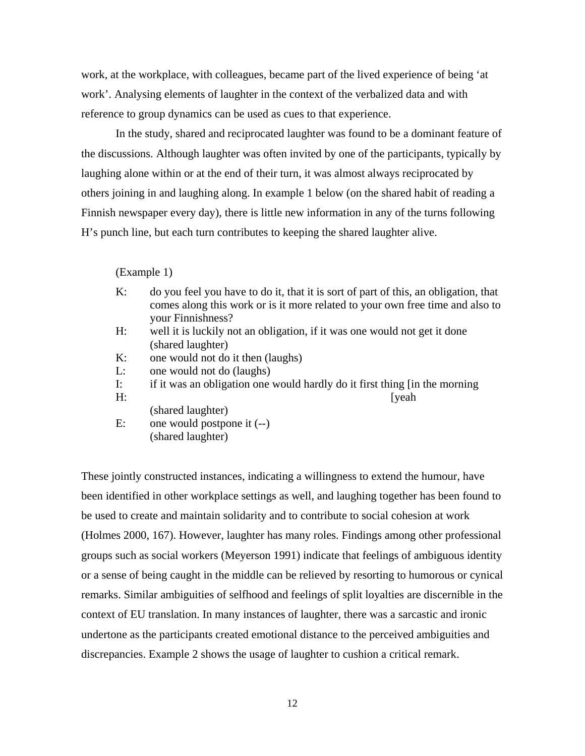work, at the workplace, with colleagues, became part of the lived experience of being 'at work'. Analysing elements of laughter in the context of the verbalized data and with reference to group dynamics can be used as cues to that experience.

In the study, shared and reciprocated laughter was found to be a dominant feature of the discussions. Although laughter was often invited by one of the participants, typically by laughing alone within or at the end of their turn, it was almost always reciprocated by others joining in and laughing along. In example 1 below (on the shared habit of reading a Finnish newspaper every day), there is little new information in any of the turns following H's punch line, but each turn contributes to keeping the shared laughter alive.

(Example 1)

| K:             | do you feel you have to do it, that it is sort of part of this, an obligation, that |
|----------------|-------------------------------------------------------------------------------------|
|                | comes along this work or is it more related to your own free time and also to       |
|                | your Finnishness?                                                                   |
| H:             | well it is luckily not an obligation, if it was one would not get it done           |
|                | (shared laughter)                                                                   |
| K:             | one would not do it then (laughs)                                                   |
| L:             | one would not do (laughs)                                                           |
| $\mathbf{I}$ : | if it was an obligation one would hardly do it first thing [in the morning]         |
| H:             | [yeah]                                                                              |
|                | (shared laughter)                                                                   |
| E:             | one would postpone it (--)                                                          |
|                | (shared laughter)                                                                   |

These jointly constructed instances, indicating a willingness to extend the humour, have been identified in other workplace settings as well, and laughing together has been found to be used to create and maintain solidarity and to contribute to social cohesion at work (Holmes 2000, 167). However, laughter has many roles. Findings among other professional groups such as social workers (Meyerson 1991) indicate that feelings of ambiguous identity or a sense of being caught in the middle can be relieved by resorting to humorous or cynical remarks. Similar ambiguities of selfhood and feelings of split loyalties are discernible in the context of EU translation. In many instances of laughter, there was a sarcastic and ironic undertone as the participants created emotional distance to the perceived ambiguities and discrepancies. Example 2 shows the usage of laughter to cushion a critical remark.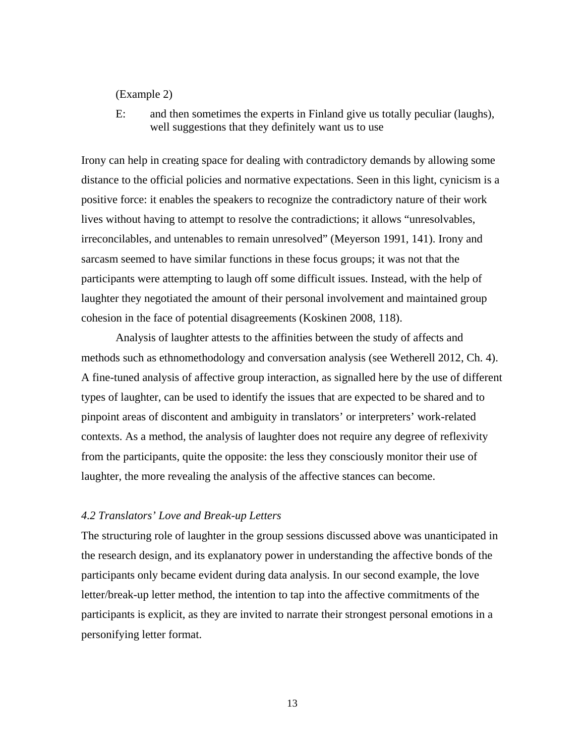(Example 2)

E: and then sometimes the experts in Finland give us totally peculiar (laughs), well suggestions that they definitely want us to use

Irony can help in creating space for dealing with contradictory demands by allowing some distance to the official policies and normative expectations. Seen in this light, cynicism is a positive force: it enables the speakers to recognize the contradictory nature of their work lives without having to attempt to resolve the contradictions; it allows "unresolvables, irreconcilables, and untenables to remain unresolved" (Meyerson 1991, 141). Irony and sarcasm seemed to have similar functions in these focus groups; it was not that the participants were attempting to laugh off some difficult issues. Instead, with the help of laughter they negotiated the amount of their personal involvement and maintained group cohesion in the face of potential disagreements (Koskinen 2008, 118).

Analysis of laughter attests to the affinities between the study of affects and methods such as ethnomethodology and conversation analysis (see Wetherell 2012, Ch. 4). A fine-tuned analysis of affective group interaction, as signalled here by the use of different types of laughter, can be used to identify the issues that are expected to be shared and to pinpoint areas of discontent and ambiguity in translators' or interpreters' work-related contexts. As a method, the analysis of laughter does not require any degree of reflexivity from the participants, quite the opposite: the less they consciously monitor their use of laughter, the more revealing the analysis of the affective stances can become.

# *4.2 Translators' Love and Break-up Letters*

The structuring role of laughter in the group sessions discussed above was unanticipated in the research design, and its explanatory power in understanding the affective bonds of the participants only became evident during data analysis. In our second example, the love letter/break-up letter method, the intention to tap into the affective commitments of the participants is explicit, as they are invited to narrate their strongest personal emotions in a personifying letter format.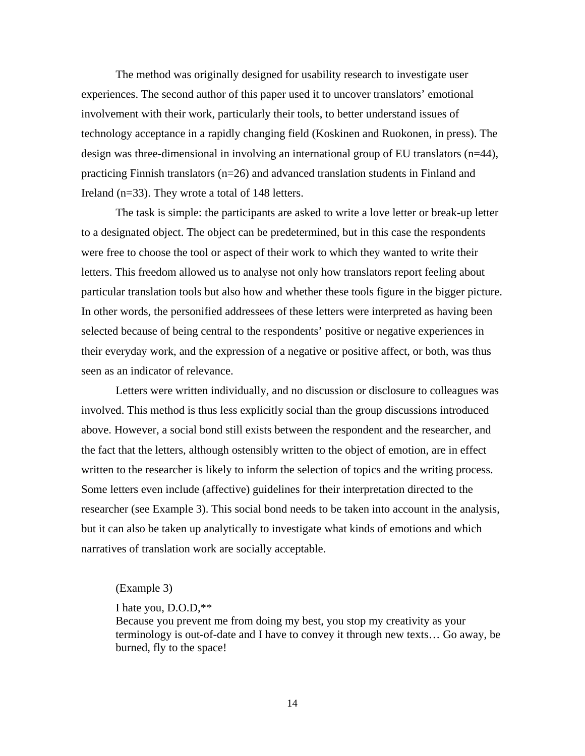The method was originally designed for usability research to investigate user experiences. The second author of this paper used it to uncover translators' emotional involvement with their work, particularly their tools, to better understand issues of technology acceptance in a rapidly changing field (Koskinen and Ruokonen, in press). The design was three-dimensional in involving an international group of EU translators (n=44), practicing Finnish translators (n=26) and advanced translation students in Finland and Ireland (n=33). They wrote a total of 148 letters.

The task is simple: the participants are asked to write a love letter or break-up letter to a designated object. The object can be predetermined, but in this case the respondents were free to choose the tool or aspect of their work to which they wanted to write their letters. This freedom allowed us to analyse not only how translators report feeling about particular translation tools but also how and whether these tools figure in the bigger picture. In other words, the personified addressees of these letters were interpreted as having been selected because of being central to the respondents' positive or negative experiences in their everyday work, and the expression of a negative or positive affect, or both, was thus seen as an indicator of relevance.

Letters were written individually, and no discussion or disclosure to colleagues was involved. This method is thus less explicitly social than the group discussions introduced above. However, a social bond still exists between the respondent and the researcher, and the fact that the letters, although ostensibly written to the object of emotion, are in effect written to the researcher is likely to inform the selection of topics and the writing process. Some letters even include (affective) guidelines for their interpretation directed to the researcher (see Example 3). This social bond needs to be taken into account in the analysis, but it can also be taken up analytically to investigate what kinds of emotions and which narratives of translation work are socially acceptable.

# (Example 3)

I hate you, D.O.D,\*\*

Because you prevent me from doing my best, you stop my creativity as your terminology is out-of-date and I have to convey it through new texts… Go away, be burned, fly to the space!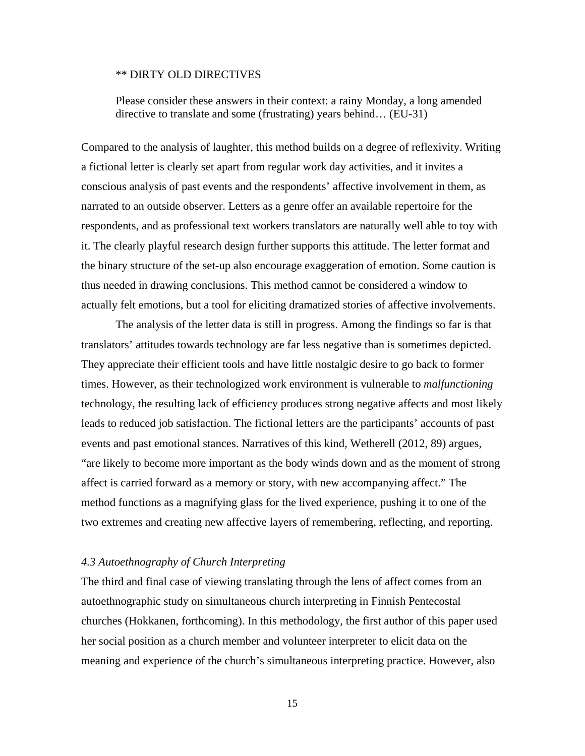### \*\* DIRTY OLD DIRECTIVES

Please consider these answers in their context: a rainy Monday, a long amended directive to translate and some (frustrating) years behind… (EU-31)

Compared to the analysis of laughter, this method builds on a degree of reflexivity. Writing a fictional letter is clearly set apart from regular work day activities, and it invites a conscious analysis of past events and the respondents' affective involvement in them, as narrated to an outside observer. Letters as a genre offer an available repertoire for the respondents, and as professional text workers translators are naturally well able to toy with it. The clearly playful research design further supports this attitude. The letter format and the binary structure of the set-up also encourage exaggeration of emotion. Some caution is thus needed in drawing conclusions. This method cannot be considered a window to actually felt emotions, but a tool for eliciting dramatized stories of affective involvements.

The analysis of the letter data is still in progress. Among the findings so far is that translators' attitudes towards technology are far less negative than is sometimes depicted. They appreciate their efficient tools and have little nostalgic desire to go back to former times. However, as their technologized work environment is vulnerable to *malfunctioning* technology, the resulting lack of efficiency produces strong negative affects and most likely leads to reduced job satisfaction. The fictional letters are the participants' accounts of past events and past emotional stances. Narratives of this kind, Wetherell (2012, 89) argues, "are likely to become more important as the body winds down and as the moment of strong affect is carried forward as a memory or story, with new accompanying affect." The method functions as a magnifying glass for the lived experience, pushing it to one of the two extremes and creating new affective layers of remembering, reflecting, and reporting.

# *4.3 Autoethnography of Church Interpreting*

The third and final case of viewing translating through the lens of affect comes from an autoethnographic study on simultaneous church interpreting in Finnish Pentecostal churches (Hokkanen, forthcoming). In this methodology, the first author of this paper used her social position as a church member and volunteer interpreter to elicit data on the meaning and experience of the church's simultaneous interpreting practice. However, also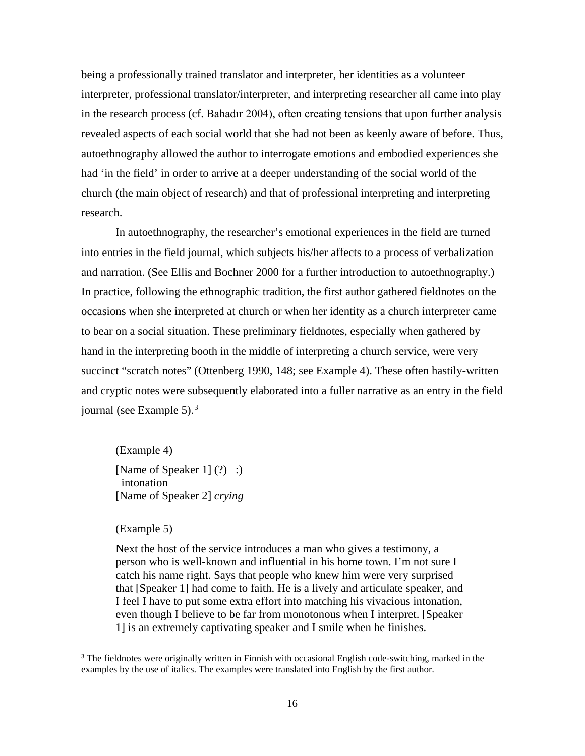being a professionally trained translator and interpreter, her identities as a volunteer interpreter, professional translator/interpreter, and interpreting researcher all came into play in the research process (cf. Bahadır 2004), often creating tensions that upon further analysis revealed aspects of each social world that she had not been as keenly aware of before. Thus, autoethnography allowed the author to interrogate emotions and embodied experiences she had 'in the field' in order to arrive at a deeper understanding of the social world of the church (the main object of research) and that of professional interpreting and interpreting research.

In autoethnography, the researcher's emotional experiences in the field are turned into entries in the field journal, which subjects his/her affects to a process of verbalization and narration. (See Ellis and Bochner 2000 for a further introduction to autoethnography.) In practice, following the ethnographic tradition, the first author gathered fieldnotes on the occasions when she interpreted at church or when her identity as a church interpreter came to bear on a social situation. These preliminary fieldnotes, especially when gathered by hand in the interpreting booth in the middle of interpreting a church service, were very succinct "scratch notes" (Ottenberg 1990, 148; see Example 4). These often hastily-written and cryptic notes were subsequently elaborated into a fuller narrative as an entry in the field journal (see Example 5).<sup>[3](#page-15-0)</sup>

(Example 4) [Name of Speaker 1] (?) :) intonation [Name of Speaker 2] *crying*

(Example 5)

<u>.</u>

Next the host of the service introduces a man who gives a testimony, a person who is well-known and influential in his home town. I'm not sure I catch his name right. Says that people who knew him were very surprised that [Speaker 1] had come to faith. He is a lively and articulate speaker, and I feel I have to put some extra effort into matching his vivacious intonation, even though I believe to be far from monotonous when I interpret. [Speaker 1] is an extremely captivating speaker and I smile when he finishes.

<span id="page-15-0"></span><sup>&</sup>lt;sup>3</sup> The fieldnotes were originally written in Finnish with occasional English code-switching, marked in the examples by the use of italics. The examples were translated into English by the first author.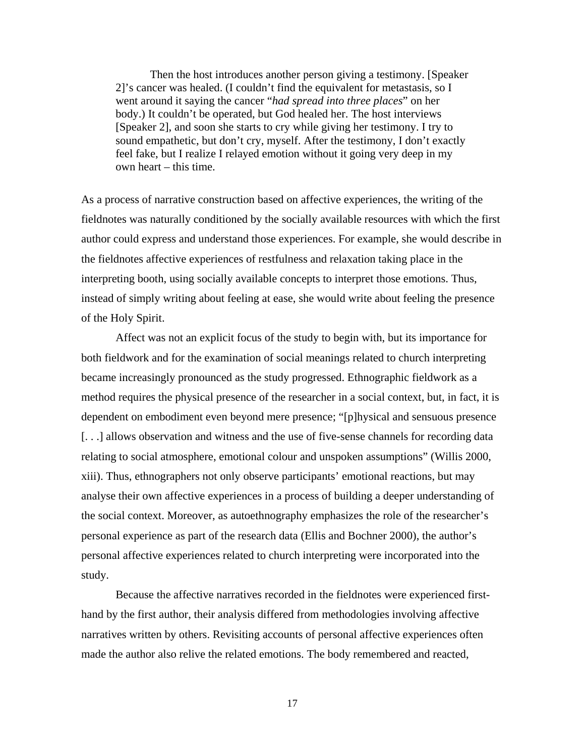Then the host introduces another person giving a testimony. [Speaker 2]'s cancer was healed. (I couldn't find the equivalent for metastasis, so I went around it saying the cancer "*had spread into three places*" on her body.) It couldn't be operated, but God healed her. The host interviews [Speaker 2], and soon she starts to cry while giving her testimony. I try to sound empathetic, but don't cry, myself. After the testimony, I don't exactly feel fake, but I realize I relayed emotion without it going very deep in my own heart – this time.

As a process of narrative construction based on affective experiences, the writing of the fieldnotes was naturally conditioned by the socially available resources with which the first author could express and understand those experiences. For example, she would describe in the fieldnotes affective experiences of restfulness and relaxation taking place in the interpreting booth, using socially available concepts to interpret those emotions. Thus, instead of simply writing about feeling at ease, she would write about feeling the presence of the Holy Spirit.

Affect was not an explicit focus of the study to begin with, but its importance for both fieldwork and for the examination of social meanings related to church interpreting became increasingly pronounced as the study progressed. Ethnographic fieldwork as a method requires the physical presence of the researcher in a social context, but, in fact, it is dependent on embodiment even beyond mere presence; "[p]hysical and sensuous presence [. . .] allows observation and witness and the use of five-sense channels for recording data relating to social atmosphere, emotional colour and unspoken assumptions" (Willis 2000, xiii). Thus, ethnographers not only observe participants' emotional reactions, but may analyse their own affective experiences in a process of building a deeper understanding of the social context. Moreover, as autoethnography emphasizes the role of the researcher's personal experience as part of the research data (Ellis and Bochner 2000), the author's personal affective experiences related to church interpreting were incorporated into the study.

Because the affective narratives recorded in the fieldnotes were experienced firsthand by the first author, their analysis differed from methodologies involving affective narratives written by others. Revisiting accounts of personal affective experiences often made the author also relive the related emotions. The body remembered and reacted,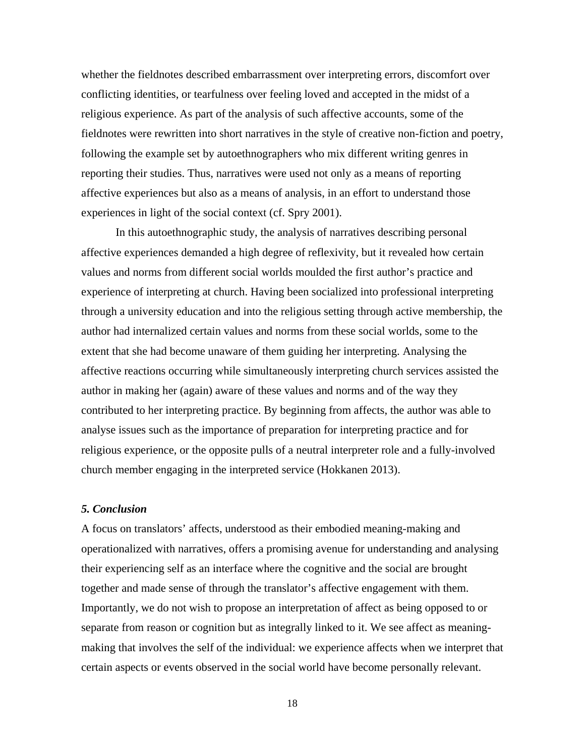whether the fieldnotes described embarrassment over interpreting errors, discomfort over conflicting identities, or tearfulness over feeling loved and accepted in the midst of a religious experience. As part of the analysis of such affective accounts, some of the fieldnotes were rewritten into short narratives in the style of creative non-fiction and poetry, following the example set by autoethnographers who mix different writing genres in reporting their studies. Thus, narratives were used not only as a means of reporting affective experiences but also as a means of analysis, in an effort to understand those experiences in light of the social context (cf. Spry 2001).

In this autoethnographic study, the analysis of narratives describing personal affective experiences demanded a high degree of reflexivity, but it revealed how certain values and norms from different social worlds moulded the first author's practice and experience of interpreting at church. Having been socialized into professional interpreting through a university education and into the religious setting through active membership, the author had internalized certain values and norms from these social worlds, some to the extent that she had become unaware of them guiding her interpreting. Analysing the affective reactions occurring while simultaneously interpreting church services assisted the author in making her (again) aware of these values and norms and of the way they contributed to her interpreting practice. By beginning from affects, the author was able to analyse issues such as the importance of preparation for interpreting practice and for religious experience, or the opposite pulls of a neutral interpreter role and a fully-involved church member engaging in the interpreted service (Hokkanen 2013).

### *5. Conclusion*

A focus on translators' affects, understood as their embodied meaning-making and operationalized with narratives, offers a promising avenue for understanding and analysing their experiencing self as an interface where the cognitive and the social are brought together and made sense of through the translator's affective engagement with them. Importantly, we do not wish to propose an interpretation of affect as being opposed to or separate from reason or cognition but as integrally linked to it. We see affect as meaningmaking that involves the self of the individual: we experience affects when we interpret that certain aspects or events observed in the social world have become personally relevant.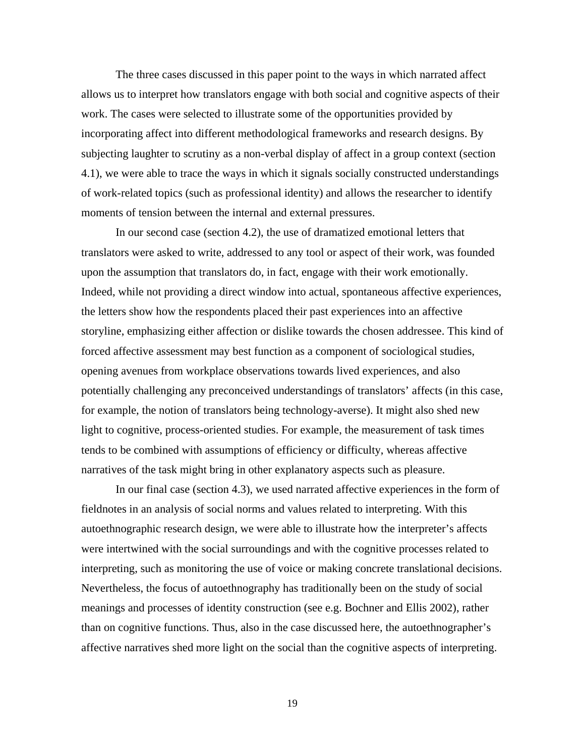The three cases discussed in this paper point to the ways in which narrated affect allows us to interpret how translators engage with both social and cognitive aspects of their work. The cases were selected to illustrate some of the opportunities provided by incorporating affect into different methodological frameworks and research designs. By subjecting laughter to scrutiny as a non-verbal display of affect in a group context (section 4.1), we were able to trace the ways in which it signals socially constructed understandings of work-related topics (such as professional identity) and allows the researcher to identify moments of tension between the internal and external pressures.

In our second case (section 4.2), the use of dramatized emotional letters that translators were asked to write, addressed to any tool or aspect of their work, was founded upon the assumption that translators do, in fact, engage with their work emotionally. Indeed, while not providing a direct window into actual, spontaneous affective experiences, the letters show how the respondents placed their past experiences into an affective storyline, emphasizing either affection or dislike towards the chosen addressee. This kind of forced affective assessment may best function as a component of sociological studies, opening avenues from workplace observations towards lived experiences, and also potentially challenging any preconceived understandings of translators' affects (in this case, for example, the notion of translators being technology-averse). It might also shed new light to cognitive, process-oriented studies. For example, the measurement of task times tends to be combined with assumptions of efficiency or difficulty, whereas affective narratives of the task might bring in other explanatory aspects such as pleasure.

In our final case (section 4.3), we used narrated affective experiences in the form of fieldnotes in an analysis of social norms and values related to interpreting. With this autoethnographic research design, we were able to illustrate how the interpreter's affects were intertwined with the social surroundings and with the cognitive processes related to interpreting, such as monitoring the use of voice or making concrete translational decisions. Nevertheless, the focus of autoethnography has traditionally been on the study of social meanings and processes of identity construction (see e.g. Bochner and Ellis 2002), rather than on cognitive functions. Thus, also in the case discussed here, the autoethnographer's affective narratives shed more light on the social than the cognitive aspects of interpreting.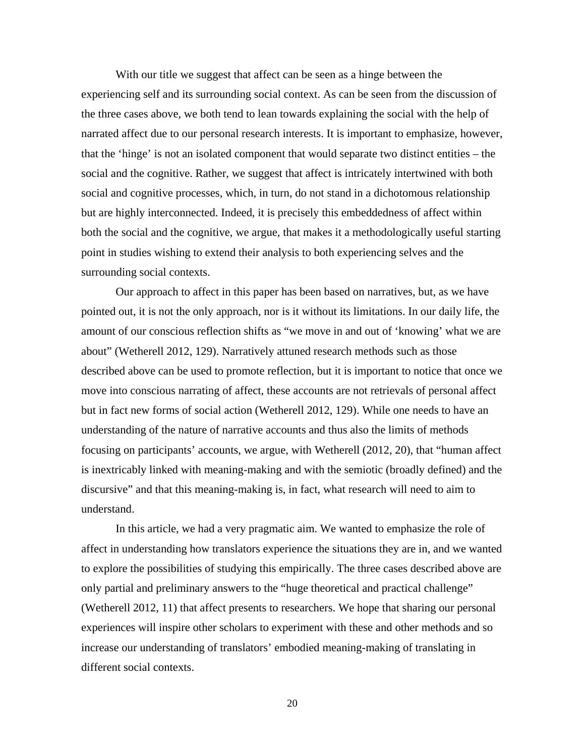With our title we suggest that affect can be seen as a hinge between the experiencing self and its surrounding social context. As can be seen from the discussion of the three cases above, we both tend to lean towards explaining the social with the help of narrated affect due to our personal research interests. It is important to emphasize, however, that the 'hinge' is not an isolated component that would separate two distinct entities – the social and the cognitive. Rather, we suggest that affect is intricately intertwined with both social and cognitive processes, which, in turn, do not stand in a dichotomous relationship but are highly interconnected. Indeed, it is precisely this embeddedness of affect within both the social and the cognitive, we argue, that makes it a methodologically useful starting point in studies wishing to extend their analysis to both experiencing selves and the surrounding social contexts.

Our approach to affect in this paper has been based on narratives, but, as we have pointed out, it is not the only approach, nor is it without its limitations. In our daily life, the amount of our conscious reflection shifts as "we move in and out of 'knowing' what we are about" (Wetherell 2012, 129). Narratively attuned research methods such as those described above can be used to promote reflection, but it is important to notice that once we move into conscious narrating of affect, these accounts are not retrievals of personal affect but in fact new forms of social action (Wetherell 2012, 129). While one needs to have an understanding of the nature of narrative accounts and thus also the limits of methods focusing on participants' accounts, we argue, with Wetherell (2012, 20), that "human affect is inextricably linked with meaning-making and with the semiotic (broadly defined) and the discursive" and that this meaning-making is, in fact, what research will need to aim to understand.

In this article, we had a very pragmatic aim. We wanted to emphasize the role of affect in understanding how translators experience the situations they are in, and we wanted to explore the possibilities of studying this empirically. The three cases described above are only partial and preliminary answers to the "huge theoretical and practical challenge" (Wetherell 2012, 11) that affect presents to researchers. We hope that sharing our personal experiences will inspire other scholars to experiment with these and other methods and so increase our understanding of translators' embodied meaning-making of translating in different social contexts.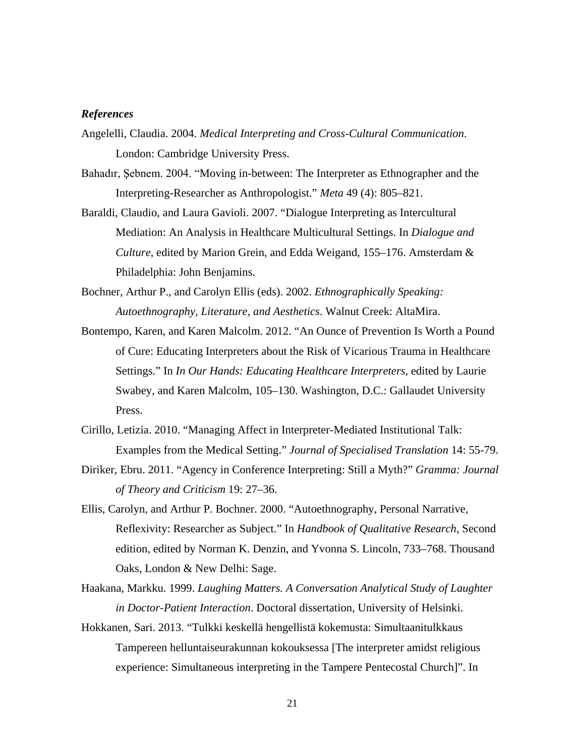#### *References*

- Angelelli, Claudia. 2004. *Medical Interpreting and Cross-Cultural Communication*. London: Cambridge University Press.
- Bahadır, Şebnem. 2004. "Moving in-between: The Interpreter as Ethnographer and the Interpreting-Researcher as Anthropologist." *Meta* 49 (4): 805–821.
- Baraldi, Claudio, and Laura Gavioli. 2007. "Dialogue Interpreting as Intercultural Mediation: An Analysis in Healthcare Multicultural Settings. In *Dialogue and Culture*, edited by Marion Grein, and Edda Weigand, 155–176. Amsterdam & Philadelphia: John Benjamins.
- Bochner, Arthur P., and Carolyn Ellis (eds). 2002. *Ethnographically Speaking: Autoethnography, Literature, and Aesthetics*. Walnut Creek: AltaMira.
- Bontempo, Karen, and Karen Malcolm. 2012. "An Ounce of Prevention Is Worth a Pound of Cure: Educating Interpreters about the Risk of Vicarious Trauma in Healthcare Settings." In *In Our Hands: Educating Healthcare Interpreters*, edited by Laurie Swabey, and Karen Malcolm, 105–130. Washington, D.C.: Gallaudet University Press.
- Cirillo, Letizia. 2010. "Managing Affect in Interpreter-Mediated Institutional Talk: Examples from the Medical Setting." *Journal of Specialised Translation* 14: 55-79.
- Diriker, Ebru. 2011. "Agency in Conference Interpreting: Still a Myth?" *Gramma: Journal of Theory and Criticism* 19: 27–36.
- Ellis, Carolyn, and Arthur P. Bochner. 2000. "Autoethnography, Personal Narrative, Reflexivity: Researcher as Subject." In *Handbook of Qualitative Research*, Second edition, edited by Norman K. Denzin, and Yvonna S. Lincoln, 733–768. Thousand Oaks, London & New Delhi: Sage.
- Haakana, Markku. 1999. *Laughing Matters. A Conversation Analytical Study of Laughter in Doctor-Patient Interaction*. Doctoral dissertation, University of Helsinki.
- Hokkanen, Sari. 2013. "Tulkki keskellä hengellistä kokemusta: Simultaanitulkkaus Tampereen helluntaiseurakunnan kokouksessa [The interpreter amidst religious experience: Simultaneous interpreting in the Tampere Pentecostal Church]". In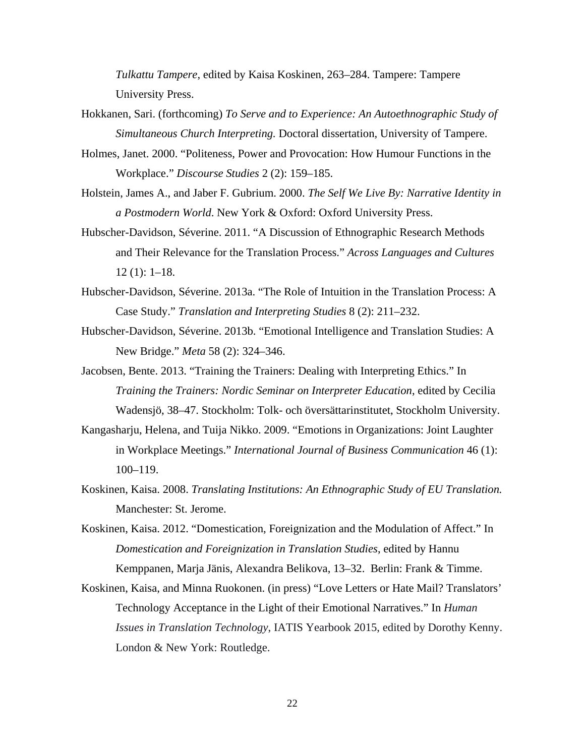*Tulkattu Tampere*, edited by Kaisa Koskinen, 263–284. Tampere: Tampere University Press.

- Hokkanen, Sari. (forthcoming) *To Serve and to Experience: An Autoethnographic Study of Simultaneous Church Interpreting.* Doctoral dissertation, University of Tampere.
- Holmes, Janet. 2000. "Politeness, Power and Provocation: How Humour Functions in the Workplace." *Discourse Studies* 2 (2): 159–185.
- Holstein, James A., and Jaber F. Gubrium. 2000. *The Self We Live By: Narrative Identity in a Postmodern World*. New York & Oxford: Oxford University Press.
- Hubscher-Davidson, Séverine. 2011. "A Discussion of Ethnographic Research Methods and Their Relevance for the Translation Process." *Across Languages and Cultures* 12 (1): 1–18.
- Hubscher-Davidson, Séverine. 2013a. "The Role of Intuition in the Translation Process: A Case Study." *Translation and Interpreting Studies* 8 (2): 211–232.
- Hubscher-Davidson, Séverine. 2013b. "Emotional Intelligence and Translation Studies: A New Bridge." *Meta* 58 (2): 324–346.
- Jacobsen, Bente. 2013. "Training the Trainers: Dealing with Interpreting Ethics." In *Training the Trainers: Nordic Seminar on Interpreter Education*, edited by Cecilia Wadensjö, 38–47. Stockholm: Tolk- och översättarinstitutet, Stockholm University.
- Kangasharju, Helena, and Tuija Nikko. 2009. "Emotions in Organizations: Joint Laughter in Workplace Meetings." *International Journal of Business Communication* 46 (1): 100–119.
- Koskinen, Kaisa. 2008. *Translating Institutions: An Ethnographic Study of EU Translation.*  Manchester: St. Jerome.
- Koskinen, Kaisa. 2012. "Domestication, Foreignization and the Modulation of Affect." In *Domestication and Foreignization in Translation Studies*, edited by Hannu Kemppanen, Marja Jänis, Alexandra Belikova, 13–32. Berlin: Frank & Timme.
- Koskinen, Kaisa, and Minna Ruokonen. (in press) "Love Letters or Hate Mail? Translators' Technology Acceptance in the Light of their Emotional Narratives." In *Human Issues in Translation Technology*, IATIS Yearbook 2015, edited by Dorothy Kenny. London & New York: Routledge.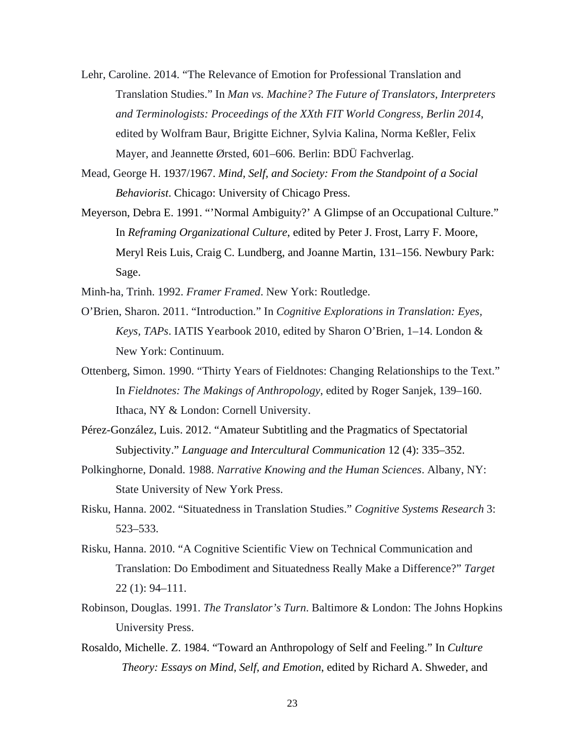- Lehr, Caroline. 2014. "The Relevance of Emotion for Professional Translation and Translation Studies." In *Man vs. Machine? The Future of Translators, Interpreters and Terminologists: Proceedings of the XXth FIT World Congress, Berlin 2014*, edited by Wolfram Baur, Brigitte Eichner, Sylvia Kalina, Norma Keßler, Felix Mayer, and Jeannette Ørsted, 601–606. Berlin: BDÜ Fachverlag.
- Mead, George H. 1937/1967. *Mind, Self, and Society: From the Standpoint of a Social Behaviorist*. Chicago: University of Chicago Press.
- Meyerson, Debra E. 1991. "'Normal Ambiguity?' A Glimpse of an Occupational Culture." In *Reframing Organizational Culture*, edited by Peter J. Frost, Larry F. Moore, Meryl Reis Luis, Craig C. Lundberg, and Joanne Martin, 131–156. Newbury Park: Sage.
- Minh-ha, Trinh. 1992. *Framer Framed*. New York: Routledge.
- O'Brien, Sharon. 2011. "Introduction." In *Cognitive Explorations in Translation: Eyes, Keys, TAPs*. IATIS Yearbook 2010, edited by Sharon O'Brien, 1–14. London & New York: Continuum.
- Ottenberg, Simon. 1990. "Thirty Years of Fieldnotes: Changing Relationships to the Text." In *Fieldnotes: The Makings of Anthropology*, edited by Roger Sanjek, 139–160. Ithaca, NY & London: Cornell University.
- Pérez-González, Luis. 2012. "Amateur Subtitling and the Pragmatics of Spectatorial Subjectivity." *Language and Intercultural Communication* 12 (4): 335–352.
- Polkinghorne, Donald. 1988. *Narrative Knowing and the Human Sciences*. Albany, NY: State University of New York Press.
- Risku, Hanna. 2002. "Situatedness in Translation Studies." *Cognitive Systems Research* 3: 523–533.
- Risku, Hanna. 2010. "A Cognitive Scientific View on Technical Communication and Translation: Do Embodiment and Situatedness Really Make a Difference?" *Target* 22 (1): 94–111.
- Robinson, Douglas. 1991. *The Translator's Turn*. Baltimore & London: The Johns Hopkins University Press.
- Rosaldo, Michelle. Z. 1984. "Toward an Anthropology of Self and Feeling." In *Culture Theory: Essays on Mind, Self, and Emotion*, edited by Richard A. Shweder, and